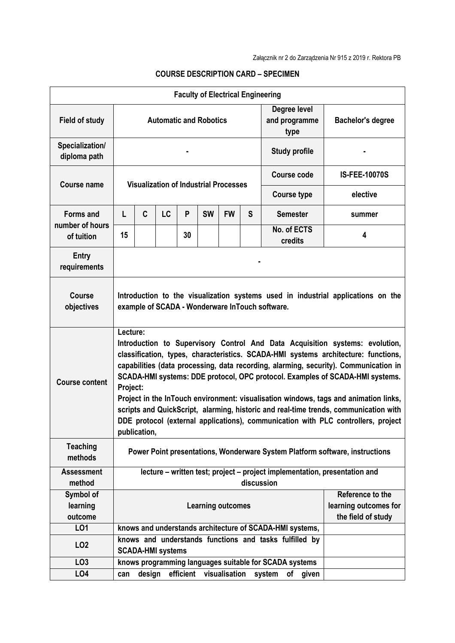|                                                   |                                                                                                                                                                                                                                                                                                                                                                                                                                                                                                                                                                                                                                                          |                                                                                    |           | <b>Faculty of Electrical Engineering</b> |           |                  |                                             |                                                                            |                      |
|---------------------------------------------------|----------------------------------------------------------------------------------------------------------------------------------------------------------------------------------------------------------------------------------------------------------------------------------------------------------------------------------------------------------------------------------------------------------------------------------------------------------------------------------------------------------------------------------------------------------------------------------------------------------------------------------------------------------|------------------------------------------------------------------------------------|-----------|------------------------------------------|-----------|------------------|---------------------------------------------|----------------------------------------------------------------------------|----------------------|
| <b>Field of study</b>                             | Degree level<br><b>Automatic and Robotics</b><br>and programme<br>type                                                                                                                                                                                                                                                                                                                                                                                                                                                                                                                                                                                   |                                                                                    |           |                                          |           |                  |                                             | <b>Bachelor's degree</b>                                                   |                      |
| Specialization/<br>diploma path                   | <b>Study profile</b>                                                                                                                                                                                                                                                                                                                                                                                                                                                                                                                                                                                                                                     |                                                                                    |           |                                          |           |                  |                                             |                                                                            |                      |
| <b>Course name</b>                                | <b>Visualization of Industrial Processes</b>                                                                                                                                                                                                                                                                                                                                                                                                                                                                                                                                                                                                             |                                                                                    |           |                                          |           |                  |                                             | Course code                                                                | <b>IS-FEE-10070S</b> |
|                                                   |                                                                                                                                                                                                                                                                                                                                                                                                                                                                                                                                                                                                                                                          |                                                                                    |           |                                          |           |                  |                                             | <b>Course type</b>                                                         | elective             |
| <b>Forms and</b><br>number of hours<br>of tuition | L                                                                                                                                                                                                                                                                                                                                                                                                                                                                                                                                                                                                                                                        | C                                                                                  | <b>LC</b> | P                                        | <b>SW</b> | <b>FW</b>        | S                                           | <b>Semester</b>                                                            | summer               |
|                                                   | 15                                                                                                                                                                                                                                                                                                                                                                                                                                                                                                                                                                                                                                                       |                                                                                    |           | 30                                       |           |                  |                                             | No. of ECTS<br>credits                                                     | 4                    |
| <b>Entry</b><br>requirements                      |                                                                                                                                                                                                                                                                                                                                                                                                                                                                                                                                                                                                                                                          |                                                                                    |           |                                          |           |                  |                                             |                                                                            |                      |
| <b>Course</b><br>objectives                       | Introduction to the visualization systems used in industrial applications on the<br>example of SCADA - Wonderware InTouch software.                                                                                                                                                                                                                                                                                                                                                                                                                                                                                                                      |                                                                                    |           |                                          |           |                  |                                             |                                                                            |                      |
| <b>Course content</b>                             | Lecture:<br>Introduction to Supervisory Control And Data Acquisition systems: evolution,<br>classification, types, characteristics. SCADA-HMI systems architecture: functions,<br>capabilities (data processing, data recording, alarming, security). Communication in<br>SCADA-HMI systems: DDE protocol, OPC protocol. Examples of SCADA-HMI systems.<br>Project:<br>Project in the InTouch environment: visualisation windows, tags and animation links,<br>scripts and QuickScript, alarming, historic and real-time trends, communication with<br>DDE protocol (external applications), communication with PLC controllers, project<br>publication, |                                                                                    |           |                                          |           |                  |                                             |                                                                            |                      |
| <b>Teaching</b><br>methods                        | Power Point presentations, Wonderware System Platform software, instructions                                                                                                                                                                                                                                                                                                                                                                                                                                                                                                                                                                             |                                                                                    |           |                                          |           |                  |                                             |                                                                            |                      |
| <b>Assessment</b>                                 |                                                                                                                                                                                                                                                                                                                                                                                                                                                                                                                                                                                                                                                          |                                                                                    |           |                                          |           |                  |                                             | lecture - written test; project - project implementation, presentation and |                      |
| method                                            |                                                                                                                                                                                                                                                                                                                                                                                                                                                                                                                                                                                                                                                          |                                                                                    |           |                                          |           |                  | discussion                                  |                                                                            |                      |
| Symbol of                                         | <b>Learning outcomes</b>                                                                                                                                                                                                                                                                                                                                                                                                                                                                                                                                                                                                                                 |                                                                                    |           |                                          |           | Reference to the |                                             |                                                                            |                      |
| learning<br>outcome                               |                                                                                                                                                                                                                                                                                                                                                                                                                                                                                                                                                                                                                                                          |                                                                                    |           |                                          |           |                  | learning outcomes for<br>the field of study |                                                                            |                      |
| LO1                                               |                                                                                                                                                                                                                                                                                                                                                                                                                                                                                                                                                                                                                                                          |                                                                                    |           |                                          |           |                  |                                             | knows and understands architecture of SCADA-HMI systems,                   |                      |
| LO <sub>2</sub>                                   |                                                                                                                                                                                                                                                                                                                                                                                                                                                                                                                                                                                                                                                          | knows and understands functions and tasks fulfilled by<br><b>SCADA-HMI systems</b> |           |                                          |           |                  |                                             |                                                                            |                      |
| LO <sub>3</sub>                                   |                                                                                                                                                                                                                                                                                                                                                                                                                                                                                                                                                                                                                                                          |                                                                                    |           |                                          |           |                  |                                             | knows programming languages suitable for SCADA systems                     |                      |
| LO <sub>4</sub>                                   | can                                                                                                                                                                                                                                                                                                                                                                                                                                                                                                                                                                                                                                                      | design                                                                             |           | efficient                                |           | visualisation    |                                             | system<br>of given                                                         |                      |

## **COURSE DESCRIPTION CARD – SPECIMEN**